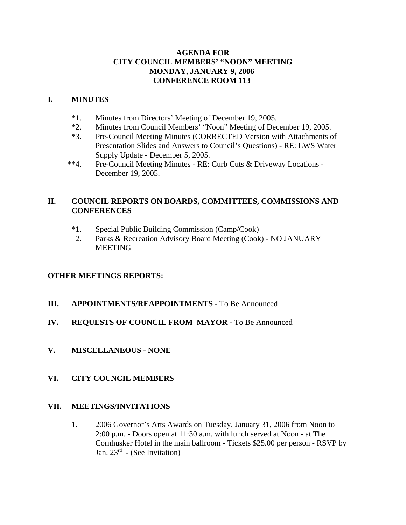# **AGENDA FOR CITY COUNCIL MEMBERS' "NOON" MEETING MONDAY, JANUARY 9, 2006 CONFERENCE ROOM 113**

# **I. MINUTES**

- \*1. Minutes from Directors' Meeting of December 19, 2005.
- \*2. Minutes from Council Members' "Noon" Meeting of December 19, 2005.
- \*3. Pre-Council Meeting Minutes (CORRECTED Version with Attachments of Presentation Slides and Answers to Council's Questions) - RE: LWS Water Supply Update - December 5, 2005.
- \*\*4. Pre-Council Meeting Minutes RE: Curb Cuts & Driveway Locations December 19, 2005.

# **II. COUNCIL REPORTS ON BOARDS, COMMITTEES, COMMISSIONS AND CONFERENCES**

- \*1. Special Public Building Commission (Camp/Cook)
- 2. Parks & Recreation Advisory Board Meeting (Cook) NO JANUARY MEETING

# **OTHER MEETINGS REPORTS:**

- **III.** APPOINTMENTS/REAPPOINTMENTS To Be Announced
- **IV. REQUESTS OF COUNCIL FROM MAYOR -** To Be Announced
- **V. MISCELLANEOUS NONE**

# **VI. CITY COUNCIL MEMBERS**

# **VII. MEETINGS/INVITATIONS**

1. 2006 Governor's Arts Awards on Tuesday, January 31, 2006 from Noon to 2:00 p.m. - Doors open at 11:30 a.m. with lunch served at Noon - at The Cornhusker Hotel in the main ballroom - Tickets \$25.00 per person - RSVP by Jan.  $23^{rd}$  - (See Invitation)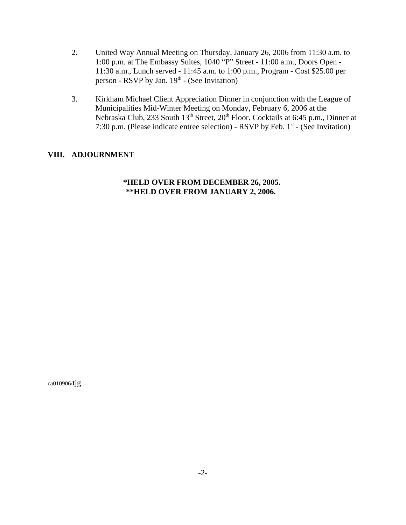- 2. United Way Annual Meeting on Thursday, January 26, 2006 from 11:30 a.m. to 1:00 p.m. at The Embassy Suites, 1040 "P" Street - 11:00 a.m., Doors Open - 11:30 a.m., Lunch served - 11:45 a.m. to 1:00 p.m., Program - Cost \$25.00 per person - RSVP by Jan.  $19<sup>th</sup>$  - (See Invitation)
- 3. Kirkham Michael Client Appreciation Dinner in conjunction with the League of Municipalities Mid-Winter Meeting on Monday, February 6, 2006 at the Nebraska Club, 233 South 13<sup>th</sup> Street, 20<sup>th</sup> Floor. Cocktails at 6:45 p.m., Dinner at 7:30 p.m. (Please indicate entree selection) - RSVP by Feb. 1st - (See Invitation)

# **VIII. ADJOURNMENT**

### **\*HELD OVER FROM DECEMBER 26, 2005. \*\*HELD OVER FROM JANUARY 2, 2006.**

ca010906/tjg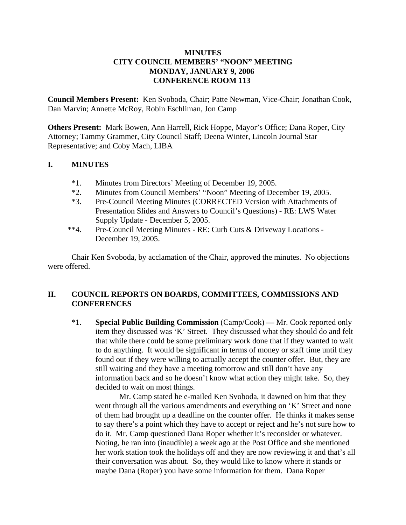# **MINUTES CITY COUNCIL MEMBERS' "NOON" MEETING MONDAY, JANUARY 9, 2006 CONFERENCE ROOM 113**

**Council Members Present:** Ken Svoboda, Chair; Patte Newman, Vice-Chair; Jonathan Cook, Dan Marvin; Annette McRoy, Robin Eschliman, Jon Camp

**Others Present:** Mark Bowen, Ann Harrell, Rick Hoppe, Mayor's Office; Dana Roper, City Attorney; Tammy Grammer, City Council Staff; Deena Winter, Lincoln Journal Star Representative; and Coby Mach, LIBA

### **I. MINUTES**

- \*1. Minutes from Directors' Meeting of December 19, 2005.
- \*2. Minutes from Council Members' "Noon" Meeting of December 19, 2005.
- \*3. Pre-Council Meeting Minutes (CORRECTED Version with Attachments of Presentation Slides and Answers to Council's Questions) - RE: LWS Water Supply Update - December 5, 2005.
- \*\*4. Pre-Council Meeting Minutes RE: Curb Cuts & Driveway Locations December 19, 2005.

Chair Ken Svoboda, by acclamation of the Chair, approved the minutes. No objections were offered.

### **II. COUNCIL REPORTS ON BOARDS, COMMITTEES, COMMISSIONS AND CONFERENCES**

\*1. **Special Public Building Commission** (Camp/Cook) **—** Mr. Cook reported only item they discussed was 'K' Street. They discussed what they should do and felt that while there could be some preliminary work done that if they wanted to wait to do anything. It would be significant in terms of money or staff time until they found out if they were willing to actually accept the counter offer. But, they are still waiting and they have a meeting tomorrow and still don't have any information back and so he doesn't know what action they might take. So, they decided to wait on most things.

Mr. Camp stated he e-mailed Ken Svoboda, it dawned on him that they went through all the various amendments and everything on 'K' Street and none of them had brought up a deadline on the counter offer. He thinks it makes sense to say there's a point which they have to accept or reject and he's not sure how to do it. Mr. Camp questioned Dana Roper whether it's reconsider or whatever. Noting, he ran into (inaudible) a week ago at the Post Office and she mentioned her work station took the holidays off and they are now reviewing it and that's all their conversation was about. So, they would like to know where it stands or maybe Dana (Roper) you have some information for them. Dana Roper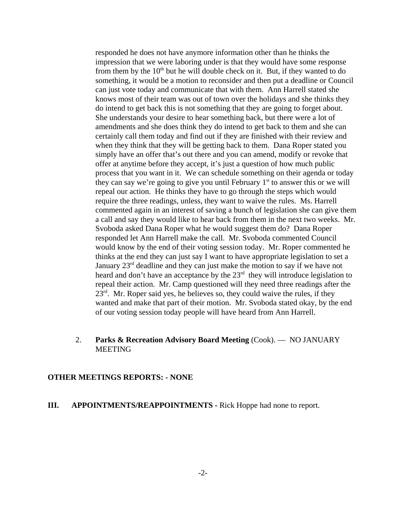responded he does not have anymore information other than he thinks the impression that we were laboring under is that they would have some response from them by the  $10<sup>th</sup>$  but he will double check on it. But, if they wanted to do something, it would be a motion to reconsider and then put a deadline or Council can just vote today and communicate that with them. Ann Harrell stated she knows most of their team was out of town over the holidays and she thinks they do intend to get back this is not something that they are going to forget about. She understands your desire to hear something back, but there were a lot of amendments and she does think they do intend to get back to them and she can certainly call them today and find out if they are finished with their review and when they think that they will be getting back to them. Dana Roper stated you simply have an offer that's out there and you can amend, modify or revoke that offer at anytime before they accept, it's just a question of how much public process that you want in it. We can schedule something on their agenda or today they can say we're going to give you until February  $1<sup>st</sup>$  to answer this or we will repeal our action. He thinks they have to go through the steps which would require the three readings, unless, they want to waive the rules. Ms. Harrell commented again in an interest of saving a bunch of legislation she can give them a call and say they would like to hear back from them in the next two weeks. Mr. Svoboda asked Dana Roper what he would suggest them do? Dana Roper responded let Ann Harrell make the call. Mr. Svoboda commented Council would know by the end of their voting session today. Mr. Roper commented he thinks at the end they can just say I want to have appropriate legislation to set a January 23rd deadline and they can just make the motion to say if we have not heard and don't have an acceptance by the  $23<sup>rd</sup>$  they will introduce legislation to repeal their action. Mr. Camp questioned will they need three readings after the  $23<sup>rd</sup>$ . Mr. Roper said yes, he believes so, they could waive the rules, if they wanted and make that part of their motion. Mr. Svoboda stated okay, by the end of our voting session today people will have heard from Ann Harrell.

### 2. **Parks & Recreation Advisory Board Meeting** (Cook). — NO JANUARY MEETING

#### **OTHER MEETINGS REPORTS: - NONE**

### **III. APPOINTMENTS/REAPPOINTMENTS -** Rick Hoppe had none to report.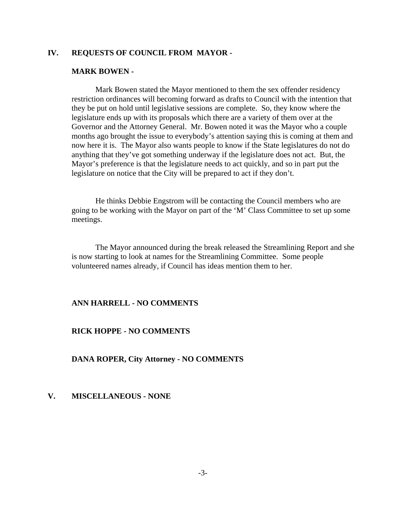### **IV. REQUESTS OF COUNCIL FROM MAYOR -**

#### **MARK BOWEN -**

Mark Bowen stated the Mayor mentioned to them the sex offender residency restriction ordinances will becoming forward as drafts to Council with the intention that they be put on hold until legislative sessions are complete. So, they know where the legislature ends up with its proposals which there are a variety of them over at the Governor and the Attorney General. Mr. Bowen noted it was the Mayor who a couple months ago brought the issue to everybody's attention saying this is coming at them and now here it is. The Mayor also wants people to know if the State legislatures do not do anything that they've got something underway if the legislature does not act. But, the Mayor's preference is that the legislature needs to act quickly, and so in part put the legislature on notice that the City will be prepared to act if they don't.

He thinks Debbie Engstrom will be contacting the Council members who are going to be working with the Mayor on part of the 'M' Class Committee to set up some meetings.

The Mayor announced during the break released the Streamlining Report and she is now starting to look at names for the Streamlining Committee. Some people volunteered names already, if Council has ideas mention them to her.

### **ANN HARRELL - NO COMMENTS**

#### **RICK HOPPE - NO COMMENTS**

**DANA ROPER, City Attorney - NO COMMENTS** 

### **V. MISCELLANEOUS - NONE**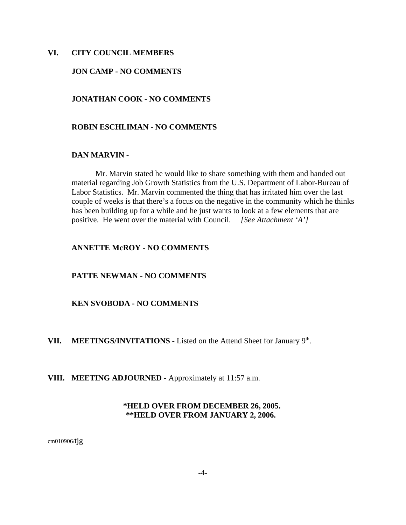### **VI. CITY COUNCIL MEMBERS**

### **JON CAMP - NO COMMENTS**

### **JONATHAN COOK - NO COMMENTS**

#### **ROBIN ESCHLIMAN - NO COMMENTS**

### **DAN MARVIN -**

Mr. Marvin stated he would like to share something with them and handed out material regarding Job Growth Statistics from the U.S. Department of Labor-Bureau of Labor Statistics. Mr. Marvin commented the thing that has irritated him over the last couple of weeks is that there's a focus on the negative in the community which he thinks has been building up for a while and he just wants to look at a few elements that are positive. He went over the material with Council. *[See Attachment 'A']* 

### **ANNETTE McROY - NO COMMENTS**

#### **PATTE NEWMAN - NO COMMENTS**

### **KEN SVOBODA - NO COMMENTS**

### VII. MEETINGS/INVITATIONS - Listed on the Attend Sheet for January 9<sup>th</sup>.

**VIII. MEETING ADJOURNED** - Approximately at 11:57 a.m.

### **\*HELD OVER FROM DECEMBER 26, 2005. \*\*HELD OVER FROM JANUARY 2, 2006.**

cm010906/tjg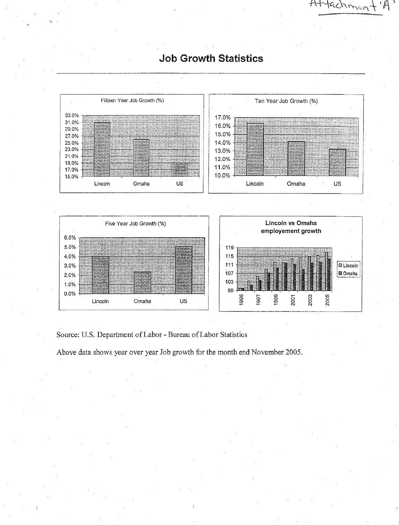Fifteen Year Job Growth (%) Ten Year Job Growth (%) 33.0% 17.0% 31.0% 16.0% 29.0% 15.0% 27.0% 25.0% 14.0% 23.0% 13.0% 21.0% 12.0% 19.0% 11.0% 17.0% 10.0% 15.0% Lincoln Omaha US Lincoln Omaha US

# **Job Growth Statistics**

Attachmer

Lincoln vs Omaha Five Year Job Growth (%) employement growth 6.0% 5.0% 119 4.0% 115  $111$ **El Lincoln** 3.0% **l≣ Omaha** 107 2.0% 103 1.0% 99 0.0% 1995 1999 2003 2005 1997 2001 Omaha **US** Lincoln

Source: U.S. Department of Labor - Bureau of Labor Statistics

Above data shows year over year Job growth for the month end November 2005.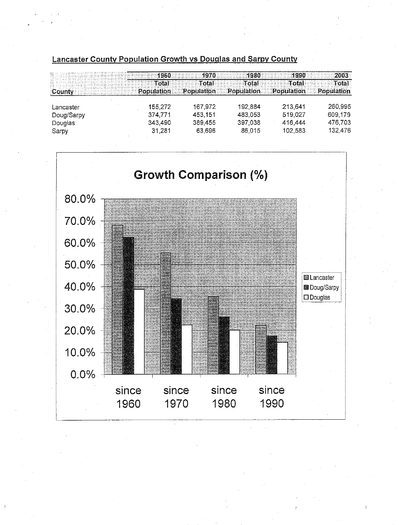# Lancaster County Population Growth vs Douglas and Sarpy County

|            |            |            |            | 1990       | 2003       |  |
|------------|------------|------------|------------|------------|------------|--|
|            | Total      | Tota       | Total      | Total      | Total      |  |
|            | Population | Population | Population | Population | Population |  |
|            |            |            |            |            |            |  |
| Lancaster  | 155,272    | 167,972    | 192,884    | 213,641    | 260,995    |  |
| Doug/Sarpy | 374,771    | 453,151    | 483 053    | 519,027    | 609.179    |  |
| Douglas    | 343,490    | 389,455    | 397,038    | 416.444    | 476,703    |  |
| Sarpy      | 31,281     | 63.696     | 86.015     | 102.583    | 132,476    |  |